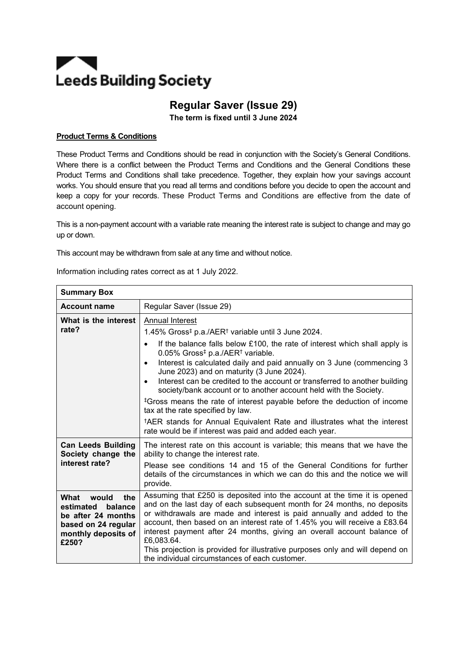# **Leeds Building Society**

# **Regular Saver (Issue 29)**

**The term is fixed until 3 June 2024** 

# **Product Terms & Conditions**

These Product Terms and Conditions should be read in conjunction with the Society's General Conditions. Where there is a conflict between the Product Terms and Conditions and the General Conditions these Product Terms and Conditions shall take precedence. Together, they explain how your savings account works. You should ensure that you read all terms and conditions before you decide to open the account and keep a copy for your records. These Product Terms and Conditions are effective from the date of account opening.

This is a non-payment account with a variable rate meaning the interest rate is subject to change and may go up or down.

This account may be withdrawn from sale at any time and without notice.

| <b>Summary Box</b>                                                                                                        |                                                                                                                                                                                                                                                                                                                                                                                                                                                                                                                                         |
|---------------------------------------------------------------------------------------------------------------------------|-----------------------------------------------------------------------------------------------------------------------------------------------------------------------------------------------------------------------------------------------------------------------------------------------------------------------------------------------------------------------------------------------------------------------------------------------------------------------------------------------------------------------------------------|
| <b>Account name</b>                                                                                                       | Regular Saver (Issue 29)                                                                                                                                                                                                                                                                                                                                                                                                                                                                                                                |
| What is the interest<br>rate?                                                                                             | Annual Interest<br>1.45% Gross <sup>‡</sup> p.a./AER <sup>†</sup> variable until 3 June 2024.                                                                                                                                                                                                                                                                                                                                                                                                                                           |
|                                                                                                                           | If the balance falls below £100, the rate of interest which shall apply is<br>0.05% Gross <sup>‡</sup> p.a./AER <sup>†</sup> variable.<br>Interest is calculated daily and paid annually on 3 June (commencing 3<br>June 2023) and on maturity (3 June 2024).<br>Interest can be credited to the account or transferred to another building<br>society/bank account or to another account held with the Society.                                                                                                                        |
|                                                                                                                           | <sup>‡</sup> Gross means the rate of interest payable before the deduction of income<br>tax at the rate specified by law.                                                                                                                                                                                                                                                                                                                                                                                                               |
|                                                                                                                           | <sup>†</sup> AER stands for Annual Equivalent Rate and illustrates what the interest<br>rate would be if interest was paid and added each year.                                                                                                                                                                                                                                                                                                                                                                                         |
| <b>Can Leeds Building</b><br>Society change the<br>interest rate?                                                         | The interest rate on this account is variable; this means that we have the<br>ability to change the interest rate.                                                                                                                                                                                                                                                                                                                                                                                                                      |
|                                                                                                                           | Please see conditions 14 and 15 of the General Conditions for further<br>details of the circumstances in which we can do this and the notice we will<br>provide.                                                                                                                                                                                                                                                                                                                                                                        |
| the<br>What<br>would<br>estimated<br>balance<br>be after 24 months<br>based on 24 regular<br>monthly deposits of<br>£250? | Assuming that £250 is deposited into the account at the time it is opened<br>and on the last day of each subsequent month for 24 months, no deposits<br>or withdrawals are made and interest is paid annually and added to the<br>account, then based on an interest rate of 1.45% you will receive a £83.64<br>interest payment after 24 months, giving an overall account balance of<br>£6,083.64.<br>This projection is provided for illustrative purposes only and will depend on<br>the individual circumstances of each customer. |

Information including rates correct as at 1 July 2022.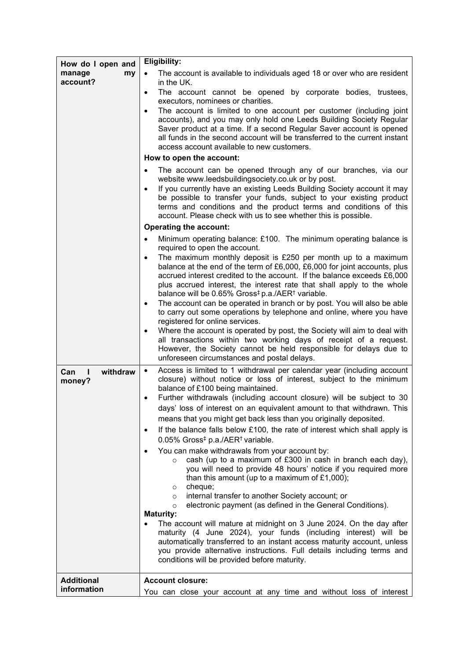| How do I open and                           | Eligibility:                                                                                                                                                                                                                                                                                                                                                                                                                                                                                                                                                                        |
|---------------------------------------------|-------------------------------------------------------------------------------------------------------------------------------------------------------------------------------------------------------------------------------------------------------------------------------------------------------------------------------------------------------------------------------------------------------------------------------------------------------------------------------------------------------------------------------------------------------------------------------------|
| manage<br>my<br>account?                    | The account is available to individuals aged 18 or over who are resident<br>$\bullet$<br>in the UK.                                                                                                                                                                                                                                                                                                                                                                                                                                                                                 |
|                                             | The account cannot be opened by corporate bodies, trustees,<br>$\bullet$<br>executors, nominees or charities.                                                                                                                                                                                                                                                                                                                                                                                                                                                                       |
|                                             | The account is limited to one account per customer (including joint<br>$\bullet$<br>accounts), and you may only hold one Leeds Building Society Regular<br>Saver product at a time. If a second Regular Saver account is opened<br>all funds in the second account will be transferred to the current instant<br>access account available to new customers.                                                                                                                                                                                                                         |
|                                             | How to open the account:                                                                                                                                                                                                                                                                                                                                                                                                                                                                                                                                                            |
|                                             | The account can be opened through any of our branches, via our<br>website www.leedsbuildingsociety.co.uk or by post.<br>If you currently have an existing Leeds Building Society account it may<br>$\bullet$<br>be possible to transfer your funds, subject to your existing product<br>terms and conditions and the product terms and conditions of this<br>account. Please check with us to see whether this is possible.                                                                                                                                                         |
|                                             | <b>Operating the account:</b>                                                                                                                                                                                                                                                                                                                                                                                                                                                                                                                                                       |
|                                             | Minimum operating balance: £100. The minimum operating balance is<br>$\bullet$<br>required to open the account.                                                                                                                                                                                                                                                                                                                                                                                                                                                                     |
|                                             | The maximum monthly deposit is £250 per month up to a maximum<br>$\bullet$<br>balance at the end of the term of £6,000, £6,000 for joint accounts, plus<br>accrued interest credited to the account. If the balance exceeds £6,000<br>plus accrued interest, the interest rate that shall apply to the whole<br>balance will be 0.65% Gross <sup>‡</sup> p.a./AER <sup>†</sup> variable.                                                                                                                                                                                            |
|                                             | The account can be operated in branch or by post. You will also be able<br>٠<br>to carry out some operations by telephone and online, where you have<br>registered for online services.                                                                                                                                                                                                                                                                                                                                                                                             |
|                                             | Where the account is operated by post, the Society will aim to deal with<br>$\bullet$<br>all transactions within two working days of receipt of a request.<br>However, the Society cannot be held responsible for delays due to<br>unforeseen circumstances and postal delays.                                                                                                                                                                                                                                                                                                      |
| withdraw<br>Can<br>$\blacksquare$<br>money? | Access is limited to 1 withdrawal per calendar year (including account<br>$\bullet$<br>closure) without notice or loss of interest, subject to the minimum<br>balance of £100 being maintained.<br>Further withdrawals (including account closure) will be subject to 30<br>٠<br>days' loss of interest on an equivalent amount to that withdrawn. This<br>means that you might get back less than you originally deposited.<br>If the balance falls below £100, the rate of interest which shall apply is<br>$\bullet$<br>0.05% Gross <sup>‡</sup> p.a./AER <sup>†</sup> variable. |
|                                             | You can make withdrawals from your account by:<br>$\bullet$<br>cash (up to a maximum of £300 in cash in branch each day),<br>$\circ$<br>you will need to provide 48 hours' notice if you required more<br>than this amount (up to a maximum of $£1,000$ );                                                                                                                                                                                                                                                                                                                          |
|                                             | cheque;<br>$\circ$<br>internal transfer to another Society account; or<br>$\circ$<br>electronic payment (as defined in the General Conditions).<br>$\circ$                                                                                                                                                                                                                                                                                                                                                                                                                          |
|                                             | <b>Maturity:</b><br>The account will mature at midnight on 3 June 2024. On the day after<br>maturity (4 June 2024), your funds (including interest) will be<br>automatically transferred to an instant access maturity account, unless<br>you provide alternative instructions. Full details including terms and<br>conditions will be provided before maturity.                                                                                                                                                                                                                    |
| <b>Additional</b>                           | <b>Account closure:</b>                                                                                                                                                                                                                                                                                                                                                                                                                                                                                                                                                             |
| information                                 | You can close your account at any time and without loss of interest                                                                                                                                                                                                                                                                                                                                                                                                                                                                                                                 |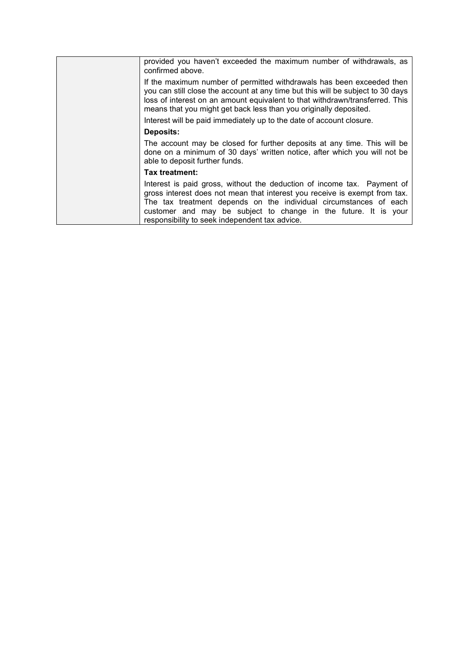| provided you haven't exceeded the maximum number of withdrawals, as<br>confirmed above.<br>If the maximum number of permitted withdrawals has been exceeded then<br>you can still close the account at any time but this will be subject to 30 days<br>loss of interest on an amount equivalent to that withdrawn/transferred. This<br>means that you might get back less than you originally deposited.<br>Interest will be paid immediately up to the date of account closure.<br><b>Deposits:</b><br>The account may be closed for further deposits at any time. This will be<br>done on a minimum of 30 days' written notice, after which you will not be<br>able to deposit further funds.<br>Tax treatment:<br>Interest is paid gross, without the deduction of income tax. Payment of<br>gross interest does not mean that interest you receive is exempt from tax.<br>The tax treatment depends on the individual circumstances of each |                                                                 |
|-------------------------------------------------------------------------------------------------------------------------------------------------------------------------------------------------------------------------------------------------------------------------------------------------------------------------------------------------------------------------------------------------------------------------------------------------------------------------------------------------------------------------------------------------------------------------------------------------------------------------------------------------------------------------------------------------------------------------------------------------------------------------------------------------------------------------------------------------------------------------------------------------------------------------------------------------|-----------------------------------------------------------------|
|                                                                                                                                                                                                                                                                                                                                                                                                                                                                                                                                                                                                                                                                                                                                                                                                                                                                                                                                                 |                                                                 |
|                                                                                                                                                                                                                                                                                                                                                                                                                                                                                                                                                                                                                                                                                                                                                                                                                                                                                                                                                 |                                                                 |
|                                                                                                                                                                                                                                                                                                                                                                                                                                                                                                                                                                                                                                                                                                                                                                                                                                                                                                                                                 |                                                                 |
|                                                                                                                                                                                                                                                                                                                                                                                                                                                                                                                                                                                                                                                                                                                                                                                                                                                                                                                                                 |                                                                 |
|                                                                                                                                                                                                                                                                                                                                                                                                                                                                                                                                                                                                                                                                                                                                                                                                                                                                                                                                                 |                                                                 |
|                                                                                                                                                                                                                                                                                                                                                                                                                                                                                                                                                                                                                                                                                                                                                                                                                                                                                                                                                 |                                                                 |
| responsibility to seek independent tax advice.                                                                                                                                                                                                                                                                                                                                                                                                                                                                                                                                                                                                                                                                                                                                                                                                                                                                                                  | customer and may be subject to change in the future. It is your |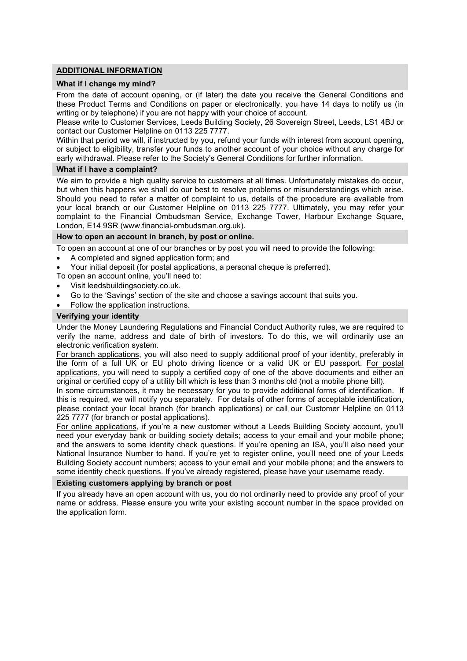# **ADDITIONAL INFORMATION**

#### **What if I change my mind?**

From the date of account opening, or (if later) the date you receive the General Conditions and these Product Terms and Conditions on paper or electronically, you have 14 days to notify us (in writing or by telephone) if you are not happy with your choice of account.

Please write to Customer Services, Leeds Building Society, 26 Sovereign Street, Leeds, LS1 4BJ or contact our Customer Helpline on 0113 225 7777.

Within that period we will, if instructed by you, refund your funds with interest from account opening, or subject to eligibility, transfer your funds to another account of your choice without any charge for early withdrawal. Please refer to the Society's General Conditions for further information.

#### **What if I have a complaint?**

We aim to provide a high quality service to customers at all times. Unfortunately mistakes do occur, but when this happens we shall do our best to resolve problems or misunderstandings which arise. Should you need to refer a matter of complaint to us, details of the procedure are available from your local branch or our Customer Helpline on 0113 225 7777. Ultimately, you may refer your complaint to the Financial Ombudsman Service, Exchange Tower, Harbour Exchange Square, London, E14 9SR (www.financial-ombudsman.org.uk).

# **How to open an account in branch, by post or online.**

To open an account at one of our branches or by post you will need to provide the following:

- A completed and signed application form; and
- Your initial deposit (for postal applications, a personal cheque is preferred).
- To open an account online, you'll need to:
- Visit leedsbuildingsociety.co.uk.
- Go to the 'Savings' section of the site and choose a savings account that suits you.
- Follow the application instructions.

#### **Verifying your identity**

Under the Money Laundering Regulations and Financial Conduct Authority rules, we are required to verify the name, address and date of birth of investors. To do this, we will ordinarily use an electronic verification system.

For branch applications, you will also need to supply additional proof of your identity, preferably in the form of a full UK or EU photo driving licence or a valid UK or EU passport. For postal applications, you will need to supply a certified copy of one of the above documents and either an original or certified copy of a utility bill which is less than 3 months old (not a mobile phone bill).

In some circumstances, it may be necessary for you to provide additional forms of identification. If this is required, we will notify you separately. For details of other forms of acceptable identification, please contact your local branch (for branch applications) or call our Customer Helpline on 0113 225 7777 (for branch or postal applications).

For online applications, if you're a new customer without a Leeds Building Society account, you'll need your everyday bank or building society details; access to your email and your mobile phone; and the answers to some identity check questions. If you're opening an ISA, you'll also need your National Insurance Number to hand. If you're yet to register online, you'll need one of your Leeds Building Society account numbers; access to your email and your mobile phone; and the answers to some identity check questions. If you've already registered, please have your username ready.

# **Existing customers applying by branch or post**

If you already have an open account with us, you do not ordinarily need to provide any proof of your name or address. Please ensure you write your existing account number in the space provided on the application form.